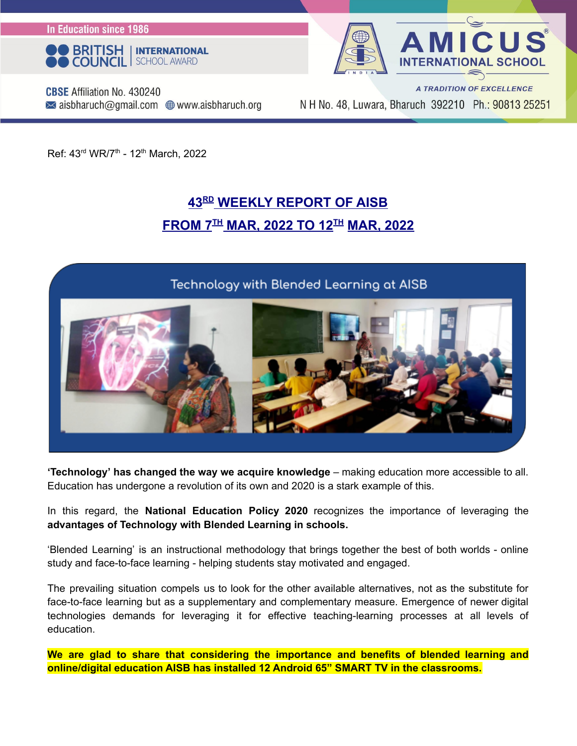**In Education since 1986** 





**CBSE** Affiliation No. 430240  $\bowtie$  aisbharuch@gmail.com  $\bigoplus$  www.aisbharuch.org

A TRADITION OF EXCELLENCE N H No. 48, Luwara, Bharuch 392210 Ph.: 90813 25251

Ref: 43<sup>rd</sup> WR/7<sup>th</sup> - 12<sup>th</sup> March, 2022

### **43 RD WEEKLY REPORT OF AISB**  $F$ **ROM** 7 $^{TH}$  MAR, 2022 TO 12 $^{TH}$  MAR, 2022

### Technology with Blended Learning at AISB



**'Technology' has changed the way we acquire knowledge** – making education more accessible to all. Education has undergone a revolution of its own and 2020 is a stark example of this.

In this regard, the **National Education Policy 2020** recognizes the importance of leveraging the **advantages of Technology with Blended Learning in schools.**

'Blended Learning' is an instructional methodology that brings together the best of both worlds - online study and face-to-face learning - helping students stay motivated and engaged.

The prevailing situation compels us to look for the other available alternatives, not as the substitute for face-to-face learning but as a supplementary and complementary measure. Emergence of newer digital technologies demands for leveraging it for effective teaching-learning processes at all levels of education.

**We are glad to share that considering the importance and benefits of blended learning and online/digital education AISB has installed 12 Android 65" SMART TV in the classrooms.**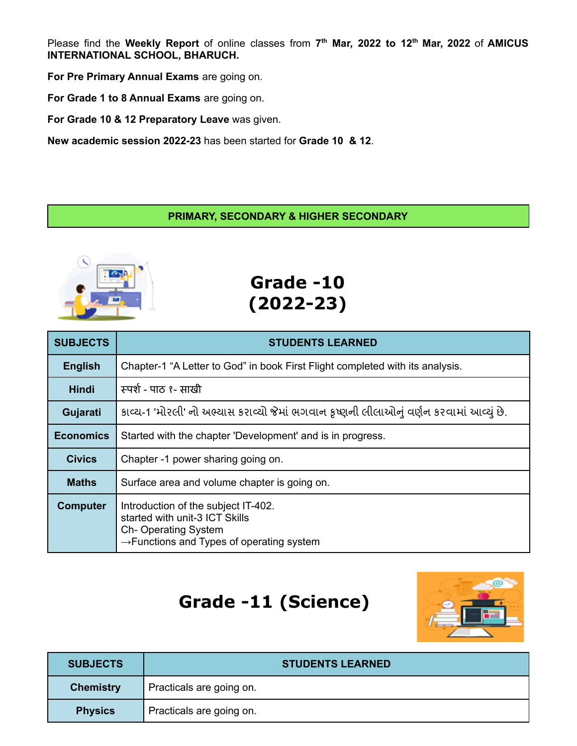Please find the **Weekly Report** of online classes from **7 th Mar, 2022 to 12 th Mar, 2022** of **AMICUS INTERNATIONAL SCHOOL, BHARUCH.**

**For Pre Primary Annual Exams** are going on.

**For Grade 1 to 8 Annual Exams** are going on.

**For Grade 10 & 12 Preparatory Leave** was given.

**New academic session 2022-23** has been started for **Grade 10 & 12**.

#### **PRIMARY, SECONDARY & HIGHER SECONDARY**



**Grade -10 (2022-23)**

| <b>SUBJECTS</b>  | <b>STUDENTS LEARNED</b>                                                                                                                                      |
|------------------|--------------------------------------------------------------------------------------------------------------------------------------------------------------|
| <b>English</b>   | Chapter-1 "A Letter to God" in book First Flight completed with its analysis.                                                                                |
| <b>Hindi</b>     | स्पर्श - पाठ १- साखी                                                                                                                                         |
| Gujarati         | કાવ્ય-1 'મોરલી' નો અભ્યાસ કરાવ્યો જેમાં ભગવાન કૃષ્ણની લીલાઓનું વર્ણન કરવામાં આવ્યું છે.                                                                      |
| <b>Economics</b> | Started with the chapter 'Development' and is in progress.                                                                                                   |
| <b>Civics</b>    | Chapter -1 power sharing going on.                                                                                                                           |
| <b>Maths</b>     | Surface area and volume chapter is going on.                                                                                                                 |
| <b>Computer</b>  | Introduction of the subject IT-402.<br>started with unit-3 ICT Skills<br><b>Ch-Operating System</b><br>$\rightarrow$ Functions and Types of operating system |

# **Grade -11 (Science)**



| <b>SUBJECTS</b>  | <b>STUDENTS LEARNED</b>  |
|------------------|--------------------------|
| <b>Chemistry</b> | Practicals are going on. |
| <b>Physics</b>   | Practicals are going on. |